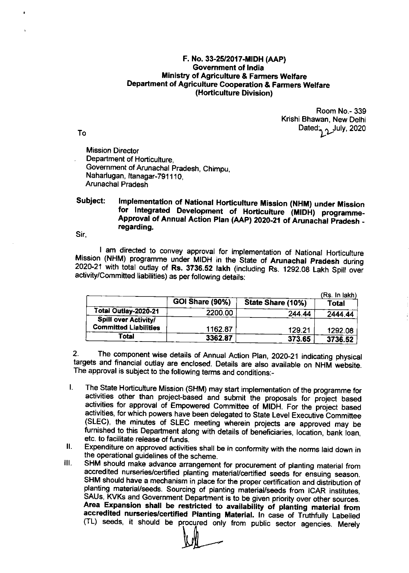## F. No. 33-25/2017-M|DH (AAp) Government of lndia Ministry of Agriculture & Farmers Welfare Department of Agricutture Cooperation & Farmers Welfare (Horticulture Division)

Room No.- 339 Krishi Bhawan, New Delhi Dated: July, 2020

To

Mission Director Department of Horticulture, Government of Arunachal Pradesh, Chimpu, Naharlugan, Itanagar-791110, Arunachal Pradesh

## Subject: Implementation of National Horticulture Mission (NHM) under Mission<br>for lntegrated Development of Horticulture (MIDH) programme-Approval of Annual Action Plan (AAP) 2020-21 of Arunachal Pradesh regarding.

Sir,

I am directed to convey approval for implementation of National Horticulture<br>Mission (NHM) programme under MIDH in the State of Arunachal Pradesh during 2020-21 with total outlay of Rs. 3736.52 lakh (including Rs. 1292.08 Lakh Spill over activity/Committed liabilities) as per following details:

|                              |                 |                   | (Rs. In lakh) |
|------------------------------|-----------------|-------------------|---------------|
|                              | GOI Share (90%) | State Share (10%) | Total         |
| Total Outlay-2020-21         | 2200.00         | 244.44            | 2444.44       |
| Spill over Activity/         |                 |                   |               |
| <b>Committed Liabilities</b> | 1162.87         | 129.21            | 1292.08       |
| Total                        | 3362.87         | 373.65            | 3736.52       |

2. The component wise details of Annual Action Plan, 2020-21 indicating physical targets and financial outlay are enclosed. Details are also available on NHM website. The approval is subject to the following terms and conditions:\_

- l. The state Horticulture Mission (sHM) may start implementation of the programme for activities other than project-based and submit the proposals for'project based activities for approval of Empowered Committee of MIDH. For the project based activities, for which powers have been delegated to State Level Executive Committee (SLEC), the minutes of SLEC meeting wherein projects are approved may be furnished to this Department along with details of beneficiaries, location, bank loan, etc. to facilitate release of funds.
- II. Expenditure on approved activities shall be in conformity with the norms laid down in the operational quidelines of the scheme.
- ill. SHM should make advance arrangement for procurement of planting material from accredited nurseries/certified planting material/certified seeds for ensuing season.<br>SHM should have a mechanism in place for the proper certification and distribution of planting material/seeds. Sourcing of planting material/seeds from ICAR institutes, SAUs, KVKs and Government Department is to be given priority over other sources. Area Expansion shall be restricted to availability of planting material from<br>accredited nurseries/certified Planting Material. In case of Truthfully Labelled<br>(TL) seeds, it should be procured only from public sector agenci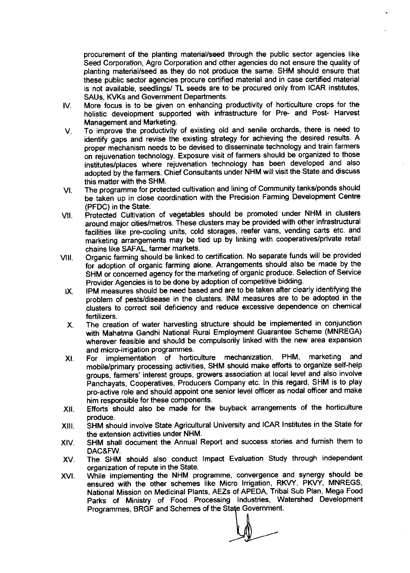procurement of the planting material/seed through the public sector agencies like Seed Corporation, Agro Corporation and other agencies do not ensure the quality of planting material/seed as they do not produce the same. SHM should ensure that these public sector agencies procure certified material and in case certified material is not available, seedlings/ TL seeds are to be procured only from ICAR institutes, SAUs, KVKs and Government Departments.

- $W_{\cdot}$ More focus is to be given on enhancing productivity of horticulture crops for the holistic development supported with infrastructure for Pre- and Post- Harvest Management and Marketing.
- To improve the productivity of existing old and senile orchards, there is need to V. identify gaps and revise the existing strategy for achieving the desired results. A proper mechanism needs to be devised to disseminate technology and train farmers on iejuvenation technology. Exposure visit of farmers should be organized to those institutes/places where rejuvenation technology has been developed and also adopted by the farmers. chief consultants under NHM will visit the state and discuss this matter with the SHM.
- The programme for protected cultivation and lining of Community tanks/ponds should be taken up in close coordination with the Precision Farming Development Centre (PFDC) in the State. VI
- Protected Cultivation of vegetables should be promoted under NHM in clusters around major cities/metros. These clusters may be provided with other infrastructural facilities like pre-cooling units, cold storages, reefer vans, vending carts etc. and marketing arrangements may be tied up by linking with cooperatives/private retail chains like SAFAL, farmer markets. vlr.
- organic farming should be linked to certification. No separate funds will be provided for adoption of organic farming alone. Arrangements should also be made by the SHM or concerned agency for the marketing of organic produce. Selection of Service Provider Agencies is to be done by adoption of competitive bidding. vil
- IPM measures should be need based and are to be taken after clearly identifying the problem of pests/disease in the clusters. INM measures are to be adopted in the clusters to correct soil deficiency and reduce excessive dependence on chemical fertilizers. lx
- The creation of water harvesting structure should be implemented in conjunction with Mahatma Gandhi National Rural Employment Guarantee Scheme (MNREGA) wherever feasible and should be compulsorily linked with the new area expansion and micro-irrigation programmes. x
- For implementation of horticulture mechanization, PHM, marketing and mobile/primary processing activities, SHM should make efforts to organize self-help groups, farmers' interest groups, growers association at local level and also involve Fanchayats, Cooperatives, Producers Company etc. ln this regard, SHM is to play pro-active role and should appoint one senior level officer as nodal officer and make him responsible for these components. xl
- Efforts should also be made for the buyback arrangements of the horticulture produce. xil
- SHM should involve State Agricultural University and ICAR lnstitutes in the State for the extension activities under NHM. xilt
- SHM shall document the Annual Report and success stories and fumish them to DAC&FW. **XIV**
- The SHM should also conduct lmpact Evaluation Study through independent organization of repute in the State. XV
- While implementing the NHM programme, convergence and synergy should be ensured with the other schemes like Micro Irrigation, RKVY, PKVY, MNREGS, National Mission on Medicinal Plants, AEZs of APEDA, Tribal Sub Plan, Mega Food Parks of Ministry of Food Processing lndustries, Watershed Development xvt Programmes, BRGF and Schemes of the State Government.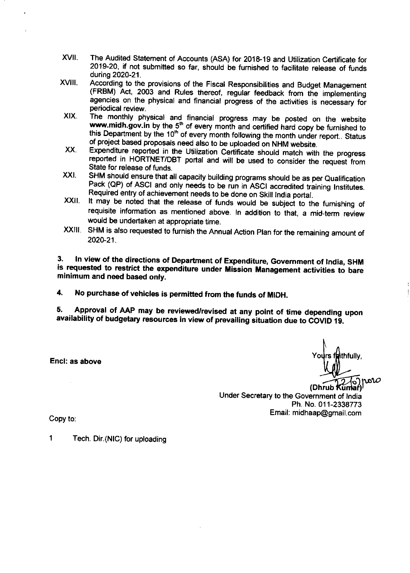- xvl. The Audited statement of Accounts (ASA) for 201&19 and Utilization certificate for 2019-20, if not submitted so far, should be fumished to facilitate release of funds
- **XVIII.** during 2020-21.<br>According to the provisions of the Fiscal Responsibilities and Budget Management (FRBM) Act, 2003 and Rules thereof, regular feedback from the implementing agencies on the physical and financial progress of the activities is necessary for
- XIX. periodical review.<br>The monthly physical and financial progress may be posted on the website www.midh.gov.in by the 5<sup>th</sup> of every month and certified hard copy be furnished to<br>this Department by the 10<sup>th</sup> of every month following the month under report.. Status<br>of project based proposals need also to be uploaded
- xx Expenditure reported in the Utilization certificate should match with the progress reported in HORTNET/DBT portal and will be used to consider the request from
- XXI. State for release of funds.<br>SHM should ensure that all capacity building programs should be as per Qualification Pack (QP) of ASCI and only needs to be run in ASCI accredited training Institutes. Required entry of achievement needs to be done on Skill lndia portal.
- xxil It may be noted that the release of funds would be subject to the furnishing of requisite information as mentioned above. In addition to that, a mid-term review would be undertaken at appropriate time.
- xxil sHM is also requested to furnish the Annual Action plan for the remaining amount of  $2020 - 21$

3. ln view of the directions of Department of Expenditure, Government of lndia, sHM is requested to restrict the expenditure under Mission Management activities to bare minimum and need based only.

4. No purchase of vehicles is permitted from the funds of MIDH.

5' .. 5. Approval of AAP may be reviewed/revised at any point of time depending upon<br>availability of budgetary resources in view of prevailing situation due to COVID 19.

Encl: as above

ithfully,  $\rho$ ror $\omega$ 

(Dhrub Under Secretary to the Government of lndia Ph. No.011-2338773 Email: midhaap@gmail.com

Copy to

1 Tech. Dir. (NIC) for uploading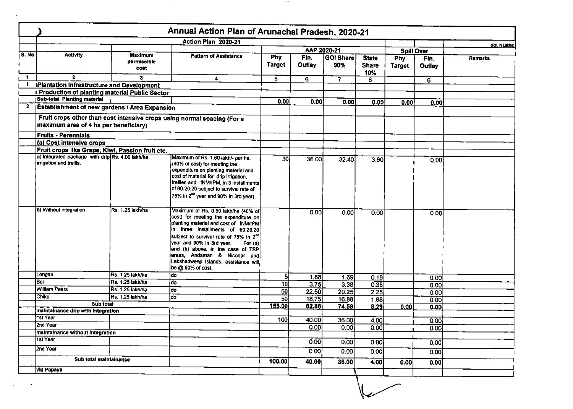|              | Annual Action Plan of Arunachal Pradesh, 2020-21                             |                                |                                                                                                                                                                                                                                                                                                                                                                                           |                      |                |                         |                                     |                             |                |                |  |
|--------------|------------------------------------------------------------------------------|--------------------------------|-------------------------------------------------------------------------------------------------------------------------------------------------------------------------------------------------------------------------------------------------------------------------------------------------------------------------------------------------------------------------------------------|----------------------|----------------|-------------------------|-------------------------------------|-----------------------------|----------------|----------------|--|
|              |                                                                              |                                | Action Plan 2020-21                                                                                                                                                                                                                                                                                                                                                                       |                      |                |                         |                                     |                             |                |                |  |
|              |                                                                              |                                |                                                                                                                                                                                                                                                                                                                                                                                           |                      |                | AAP 2020-21             |                                     | <b>Spill Over</b>           |                | (Rs. in Lakhs) |  |
| S. No        | <b>Activity</b>                                                              | Maximum<br>permissible<br>cost | <b>Pattern of Assistance</b>                                                                                                                                                                                                                                                                                                                                                              | Phy<br><b>Target</b> | Fin.<br>Outlay | <b>GOI Share</b><br>90% | <b>State</b><br><b>Share</b><br>10% | <b>Phy</b><br><b>Target</b> | Fin.<br>Outlay | Remarks        |  |
| $\mathbf{1}$ | $\mathbf{2}$                                                                 | 3                              | 4                                                                                                                                                                                                                                                                                                                                                                                         | $\overline{5}$       | 6              | $\overline{7}$          | 8                                   |                             | 6              |                |  |
|              | Plantation Infrastructure and Development                                    |                                |                                                                                                                                                                                                                                                                                                                                                                                           |                      |                |                         |                                     |                             |                |                |  |
|              | <b>Production of planting material Public Sector</b>                         |                                |                                                                                                                                                                                                                                                                                                                                                                                           |                      |                |                         |                                     |                             |                |                |  |
|              | <b>Sub-total Planting material</b>                                           |                                |                                                                                                                                                                                                                                                                                                                                                                                           | 0.00                 | 0.00           | 0.00                    | 0.00                                | 0.00                        | 0.00           |                |  |
| 2            | <b>Establishment of new gardens / Area Expansion</b>                         |                                |                                                                                                                                                                                                                                                                                                                                                                                           |                      |                |                         |                                     |                             |                |                |  |
|              | maximum area of 4 ha per beneficiary)                                        |                                | Fruit crops other than cost intensive crops using normal spacing (For a                                                                                                                                                                                                                                                                                                                   |                      |                |                         |                                     |                             |                |                |  |
|              | <b>Fruits - Perennials</b>                                                   |                                |                                                                                                                                                                                                                                                                                                                                                                                           |                      |                |                         |                                     |                             |                |                |  |
|              | (a) Cost intensive crops                                                     |                                |                                                                                                                                                                                                                                                                                                                                                                                           |                      |                |                         |                                     |                             |                |                |  |
|              | Fruit crops like Grape, Kiwi, Passion fruit etc.                             |                                |                                                                                                                                                                                                                                                                                                                                                                                           |                      |                |                         |                                     |                             |                |                |  |
|              | a) Integrated package with drip Rs. 4.00 lakh/ha.<br>irrigation and trellis. |                                | Maximum of Rs. 1.60 lakh/- per ha.<br>(40% of cost) for meeting the<br>expenditure on planting material and<br>cost of material for drip irrigation,<br>trellies and INM/IPM, in 3 installments<br>of 60:20:20 subject to survival rate of<br>75% in 2 <sup>nd</sup> year and 90% in 3rd year).                                                                                           | 30 <sub>l</sub>      | 36.00          | 32.40                   | 3.60                                |                             | 0.00           |                |  |
|              | b) Without integration                                                       | Rs. 1.25 lakh/ha               | Maximum of Rs. 0.50 lakh/ha (40% of<br>cost) for meeting the expenditure on<br>planting material and cost of INM/IPM<br>in three installments of 60:20:20<br>subject to survival rate of 75% in 2 <sup>no</sup><br>year and 90% in 3rd year.<br>For (a)<br>and (b) above, in the case of TSP<br>areas, Andaman & Nicobar and<br>Lakshadweep Islands, assistance will<br>be @ 50% of cost. |                      | 0.00           | 0.00                    | 0.00                                |                             | 0.00           |                |  |
|              | Longan                                                                       | Rs. 1.25 lakh/ha               | ldo.                                                                                                                                                                                                                                                                                                                                                                                      | 5                    | 1.88           | 1.69                    | 0.19                                |                             | 0.00           |                |  |
|              | lBer                                                                         | Rs. 1.25 lakh/ha               | do.                                                                                                                                                                                                                                                                                                                                                                                       | 10                   | 3.75           | 3.38                    | 0.38                                |                             | 0.00           |                |  |
|              | <b>William Pears</b>                                                         | Rs. 1.25 lakh/ha               | ldo                                                                                                                                                                                                                                                                                                                                                                                       | $\overline{3}$       | 22.50          | 20.25                   | 2.25                                |                             | 0.00           |                |  |
|              | <b>Chiku</b>                                                                 | Rs. 1.25 lakh/ha               | do                                                                                                                                                                                                                                                                                                                                                                                        | 50I                  | 18.75          | 16.88                   | 188                                 |                             | 0.00           |                |  |
|              | Sub total                                                                    |                                |                                                                                                                                                                                                                                                                                                                                                                                           | 155.00               | 82.88          | 74.59                   | 8.29                                | 0.00                        | 0.00           |                |  |
|              | maintainance drip with integration                                           |                                |                                                                                                                                                                                                                                                                                                                                                                                           |                      |                |                         |                                     |                             |                |                |  |
|              | 1st Year                                                                     |                                |                                                                                                                                                                                                                                                                                                                                                                                           | 100                  | 40.00          | 36.00                   | 4.00                                |                             | 0.00           |                |  |
|              | i2nd Year                                                                    |                                |                                                                                                                                                                                                                                                                                                                                                                                           |                      | 0.00           | 0.00                    | 0.00                                |                             | 0.00           |                |  |
|              | maintainance without integration                                             |                                |                                                                                                                                                                                                                                                                                                                                                                                           |                      |                |                         |                                     |                             |                |                |  |
|              | 1st Year                                                                     |                                |                                                                                                                                                                                                                                                                                                                                                                                           |                      | 0.00           | 0.00                    | 0.00                                |                             | 0.00           |                |  |
|              | 2nd Year                                                                     |                                |                                                                                                                                                                                                                                                                                                                                                                                           |                      | 0.00           | 0.00                    | 0.00                                |                             | 0.00           |                |  |
|              | Sub total maintainance                                                       |                                | 100.00                                                                                                                                                                                                                                                                                                                                                                                    | 40.00                | 36.00          | 4.00                    | 0.00                                | 0.00                        |                |                |  |
|              | vil) Papaya                                                                  |                                |                                                                                                                                                                                                                                                                                                                                                                                           |                      |                |                         |                                     |                             |                |                |  |

 $\sim 100$ 

 $\mathbf{r}$ 

and the control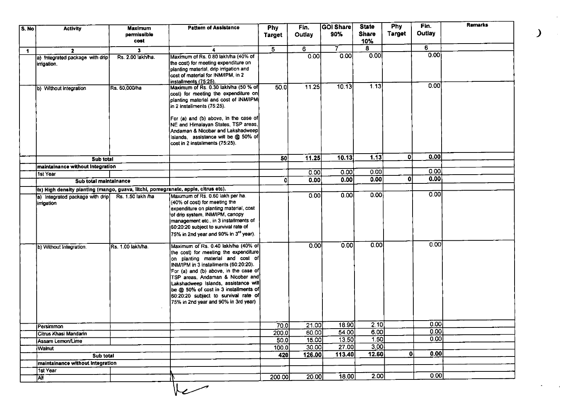| S. No       | <b>Activity</b>                                                                   | Maximum<br>permissible<br>cost | <b>Pattern of Assistance</b>                                                                                                                                                                                                                                                                                                                                                                            | <b>Phy</b><br>Target    | Fin.<br>Outlay | <b>GOI Share</b><br>90% | <b>State</b><br><b>Share</b><br>10% | <b>Phy</b><br><b>Target</b> | Fin.<br><b>Outlay</b> | <b>Remarks</b> |
|-------------|-----------------------------------------------------------------------------------|--------------------------------|---------------------------------------------------------------------------------------------------------------------------------------------------------------------------------------------------------------------------------------------------------------------------------------------------------------------------------------------------------------------------------------------------------|-------------------------|----------------|-------------------------|-------------------------------------|-----------------------------|-----------------------|----------------|
|             | $\overline{2}$                                                                    | 3                              | 4                                                                                                                                                                                                                                                                                                                                                                                                       | $\overline{\mathbf{5}}$ | 6              | 7                       | 8.                                  |                             | 6                     |                |
| $\mathbf 1$ | a) Integrated package with drip<br>irrigation.                                    | Rs. 2.00 lakh/ha.              | Maximum of Rs. 0.80 lakh/ha (40% of<br>the cost) for meeting expenditure on<br>planting material, drip irrigation and<br>cost of material for INM/IPM, in 2<br>installments (75:25).                                                                                                                                                                                                                    |                         | 0.00           | 0.00                    | 0.00                                |                             | 0.00                  |                |
|             | b) Without integration                                                            | Rs. 60,000/ha                  | Maximum of Rs. 0.30 lakh/ha (50 % of<br>cost) for meeting the expenditure on<br>planting material and cost of INM/IPM<br>in 2 installments (75.25).<br>For (a) and (b) above, in the case of<br>NE and Himalayan States, TSP areas,<br>Andaman & Nicobar and Lakshadweep<br>Islands, assistance will be @ 50% of<br>cost in 2 installments (75:25).                                                     | 50.0                    | 11.25          | 1013                    | 7.13                                |                             | 0.00                  |                |
|             | Sub total                                                                         |                                |                                                                                                                                                                                                                                                                                                                                                                                                         | $\overline{50}$         | 11.25          | 10.13                   | 1.13                                | 0                           | 0.00                  |                |
|             | maintainance without Integration                                                  |                                |                                                                                                                                                                                                                                                                                                                                                                                                         |                         |                |                         |                                     |                             | [0.00]                |                |
|             | 1st Year                                                                          |                                |                                                                                                                                                                                                                                                                                                                                                                                                         |                         | 0.00           | 0.00                    | 0.00                                |                             |                       |                |
|             | Sub total maintainance                                                            |                                |                                                                                                                                                                                                                                                                                                                                                                                                         | O                       | 0.00           | 0.00                    | 0.00                                | Οl                          | 0.00                  |                |
|             | ix) High density planting (mango, guava, litchi, pomegranate, apple, citrus etc). |                                |                                                                                                                                                                                                                                                                                                                                                                                                         |                         |                |                         |                                     |                             |                       |                |
|             | a) Integrated package with drip<br>irrigation                                     | Rs. 1.50 lakh /ha              | Maximum of Rs. 0.60 lakh per ha.<br>(40% of cost) for meeting the<br>expenditure on planting material, cost<br>of drip system, INM/IPM, canopy<br>management etc., in 3 installments of<br>60:20:20 subject to survival rate of<br>75% in 2nd year and 90% in 3 <sup>rd</sup> year).                                                                                                                    |                         | 0.00           | 0.00                    | 0.00                                |                             | $\overline{0.00}$     |                |
|             | b) Without Integration.                                                           | Rs. 1.00 lakh/ha.              | Maximum of Rs. 0.40 lakh/ha (40% of<br>the cost) for meeting the expenditure<br>on planting material and cost of<br>INM/IPM in 3 installments (60:20:20).<br>For (a) and (b) above, in the case of<br>TSP areas, Andaman & Nicobar and<br>Lakshadweep Islands, assistance will<br>be @ 50% of cost in 3 installments of<br>60:20:20 subject to survival rate of<br>75% in 2nd year and 90% in 3rd year) |                         | 0.00           | 0.00                    | 0.00                                |                             | 0.00                  |                |
|             | Persimmon                                                                         |                                |                                                                                                                                                                                                                                                                                                                                                                                                         | 70.0                    | 21.00          | 18.90                   | $\overline{2.10}$                   |                             | 0.00                  |                |
|             | Citrus Khasi Mandarin                                                             |                                |                                                                                                                                                                                                                                                                                                                                                                                                         | 200.0                   | 60.00          | 54.00                   | 6.00                                |                             | 0.00                  |                |
|             | Assam Lemon/Lime                                                                  |                                |                                                                                                                                                                                                                                                                                                                                                                                                         | 50.0                    | 15.00          | 13.50                   | $\overline{1.50}$                   |                             | 0.00                  |                |
|             | Walnut                                                                            |                                |                                                                                                                                                                                                                                                                                                                                                                                                         | 100.0                   | 30.00          | 27.00                   | 3.00                                |                             |                       |                |
|             | Sub total                                                                         |                                |                                                                                                                                                                                                                                                                                                                                                                                                         | 420                     | 126.00         | 113.40                  | 12.60                               | 0                           | 0.00                  |                |
|             | maintainance without Integration                                                  |                                |                                                                                                                                                                                                                                                                                                                                                                                                         |                         |                |                         |                                     |                             |                       |                |
|             | 1st Year                                                                          |                                |                                                                                                                                                                                                                                                                                                                                                                                                         |                         |                |                         |                                     |                             |                       |                |
|             | All                                                                               |                                |                                                                                                                                                                                                                                                                                                                                                                                                         | 200.00                  | 20.00          | 18.00                   | 2.00                                |                             | 0.00                  |                |
|             |                                                                                   |                                |                                                                                                                                                                                                                                                                                                                                                                                                         |                         |                |                         |                                     |                             |                       |                |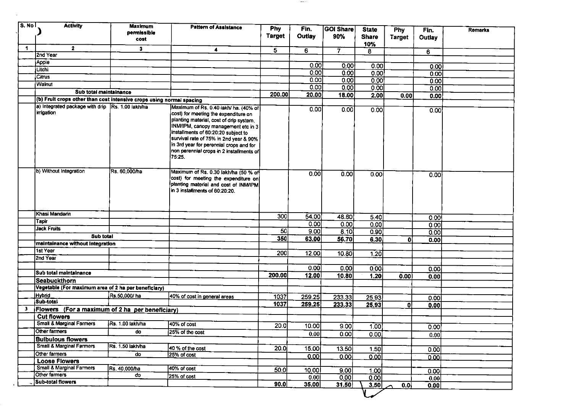| S. No l | <b>Activity</b>                                                      | <b>Maximum</b><br>permissible | <b>Pattern of Assistance</b>                                                  | Phy            | Fin.   | GOI Share         | <b>State</b>        | Phy           | Fin.          | <b>Remarks</b> |
|---------|----------------------------------------------------------------------|-------------------------------|-------------------------------------------------------------------------------|----------------|--------|-------------------|---------------------|---------------|---------------|----------------|
|         |                                                                      | cost                          |                                                                               | <b>Target</b>  | Outlay | 90%               | <b>Share</b><br>10% | <b>Target</b> | <b>Outlay</b> |                |
| 1       | $\mathbf{2}$                                                         | $\ddot{\mathbf{3}}$           | 4                                                                             | $\overline{5}$ | 6      | $\overline{\tau}$ | 8                   |               | 6             |                |
|         | 2nd Year                                                             |                               |                                                                               |                |        |                   |                     |               |               |                |
|         | Apple                                                                |                               |                                                                               |                | 0.00   | 0.00              | 0.00                |               | 0.00          |                |
|         | Litchi                                                               |                               |                                                                               |                | 0.00   | 0.00              | 0.00                |               | 0.00          |                |
|         | Citrus                                                               |                               |                                                                               |                | 0.00   | 0.00              | 0.00                |               | 0.00          |                |
|         | Walnut                                                               |                               |                                                                               |                | 0.00   | 0.00              | 0.00                |               | 0.00          |                |
|         | Sub total maintainance                                               |                               |                                                                               | 200.00         | 20.00  | 18.00             | 2.00                | 0.00          | 0.00          |                |
|         | (b) Fruit crops other than cost intensive crops using normal spacing |                               |                                                                               |                |        |                   |                     |               |               |                |
|         | a) Integrated package with drip Rs. 1.00 lakh/ha<br>irrigation       |                               | Maximum of Rs. 0.40 lakh/ ha. (40% of<br>cost) for meeting the expenditure on |                | 0.00   | 0.00              | 0.00                |               | 0.00          |                |
|         |                                                                      |                               | planting material, cost of drip system,                                       |                |        |                   |                     |               |               |                |
|         |                                                                      |                               | INM/IPM, canopy management etc in 3                                           |                |        |                   |                     |               |               |                |
|         |                                                                      |                               | installments of 60:20:20 subject to<br>survival rate of 75% in 2nd year & 90% |                |        |                   |                     |               |               |                |
|         |                                                                      |                               | in 3rd year for perennial crops and for                                       |                |        |                   |                     |               |               |                |
|         |                                                                      |                               | non perennial crops in 2 installments of                                      |                |        |                   |                     |               |               |                |
|         |                                                                      |                               | 75:25.                                                                        |                |        |                   |                     |               |               |                |
|         | b) Without Integration                                               | Rs. 60,000/ha                 | Maximum of Rs. 0.30 lakh/ha (50 % of                                          |                |        |                   |                     |               |               |                |
|         |                                                                      |                               | cost) for meeting the expenditure on                                          |                | 0.00   | $\overline{0.00}$ | 0.00                |               | 0.00          |                |
|         |                                                                      |                               | planting material and cost of INM/IPM                                         |                |        |                   |                     |               |               |                |
|         |                                                                      |                               | in 3 installments of 60:20:20.                                                |                |        |                   |                     |               |               |                |
|         |                                                                      |                               |                                                                               |                |        |                   |                     |               |               |                |
|         |                                                                      |                               |                                                                               |                |        |                   |                     |               |               |                |
|         | Khasi Mandarin                                                       |                               |                                                                               | 300            | 54.00  | 48.60             | 5.40                |               | 0.00          |                |
|         | Tapir                                                                |                               |                                                                               |                | 0.00   | 0.00              | 0.00                |               | 0.00          |                |
|         | Jack Fruits                                                          |                               |                                                                               | 50             | 9.00   | 8.10              | 0.90                |               | 0.00          |                |
|         | Sub total                                                            |                               |                                                                               | 350            | 63.00  | 56.70             | 6.30                | $\mathbf{0}$  | 0.00          |                |
|         | maintainance without Integration                                     |                               |                                                                               |                |        |                   |                     |               |               |                |
|         | 1st Year<br>2nd Year                                                 |                               |                                                                               | 200            | 12.00  | 10.80             | 1.20                |               |               |                |
|         |                                                                      |                               |                                                                               |                |        |                   |                     |               |               |                |
|         | Sub total maintainance                                               |                               |                                                                               |                | 0.00   | 0.00              | 0.00                |               | 0.00          |                |
|         | <b>Seabuckthorn</b>                                                  |                               |                                                                               | 200.00         | 12.00  | 10.80             | 1.20                | 0.00          | 0.00          |                |
|         | Vegetable (For maximum area of 2 ha per beneficiary)                 |                               |                                                                               |                |        |                   |                     |               |               |                |
|         | <b>Hybrid</b>                                                        | Rs.50,000/ ha                 | 40% of cost in general areas                                                  | 1037           | 259.25 |                   |                     |               |               |                |
|         | Sub-total                                                            |                               |                                                                               | 1037           | 259.25 | 233.33<br>233.33  | 25.93               |               | 0.00          |                |
| 3       | Flowers (For a maximum of 2 ha per beneficiary)                      |                               |                                                                               |                |        |                   | 25.93               | 0ł            | 0.00          |                |
|         | <b>Cut flowers</b>                                                   |                               |                                                                               |                |        |                   |                     |               |               |                |
|         | <b>Small &amp; Marginal Farmers</b>                                  | Rs. 1.00 lakh/ha              | 40% of cost                                                                   | 20.0I          | 10.00  | 9.00              | 1.00                |               | 0.00          |                |
|         | Other farmers                                                        | do                            | 25% of the cost                                                               |                | 0.00   | 0.00              | 0.00                |               | 0.00          |                |
|         | <b>Bulbulous flowers</b>                                             |                               |                                                                               |                |        |                   |                     |               |               |                |
|         | Small & Marginal Farmers                                             | Rs. 1.50 lakh/ha              | 40 % of the cost                                                              | 20.0           | 15.00  | 13.50             | 1.50                |               | 0.00          |                |
|         | Other farmers                                                        | do                            | 25% of cost                                                                   |                | 0.00   | 0.00l             | 0.00                |               | 0.001         |                |
|         | <b>Loose Flowers</b>                                                 |                               |                                                                               |                |        |                   |                     |               |               |                |
|         | Small & Marginal Farmers                                             | Rs. 40,000/ha                 | 40% of cost                                                                   | 50.0           | 10.00  | 9.00              | 1.00                |               | 0.00          |                |
|         | Other farmers                                                        | do                            | 25% of cost                                                                   |                | 0.00   | 0.00              | 0.00                |               | 0.00          |                |
|         | Sub-total flowers                                                    |                               |                                                                               | 90.0           | 35.00  | 31.50             | 3.50                | 0.0           | 0.00          |                |

 $\sim$  0.000  $\sim$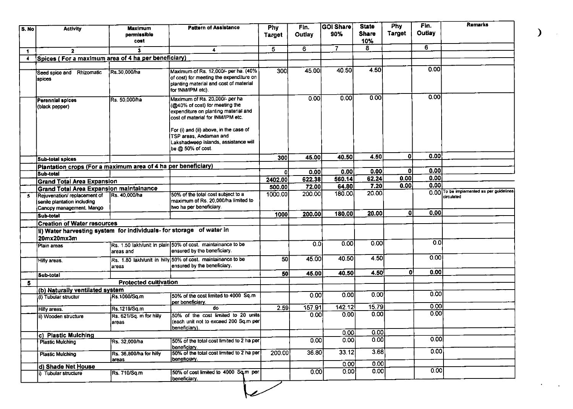| S. No        | <b>Activity</b>                                                                         | Maximum<br>permissible<br>cost   | <b>Pattern of Assistance</b>                                                                                                                                                            | Phy<br><b>Target</b> | Fin.<br>Outlay | <b>GOI Share</b><br>90% | <b>State</b><br><b>Share</b><br>10% | <b>Phy</b><br><b>Target</b> | Fin.<br>Outlay | <b>Remarks</b>                           |
|--------------|-----------------------------------------------------------------------------------------|----------------------------------|-----------------------------------------------------------------------------------------------------------------------------------------------------------------------------------------|----------------------|----------------|-------------------------|-------------------------------------|-----------------------------|----------------|------------------------------------------|
| $\mathbf{1}$ | $\mathbf{2}$                                                                            | 3                                | $\blacktriangleleft$                                                                                                                                                                    | 5                    | 6              | $\overline{7}$          | 8                                   |                             | 6.             |                                          |
| 4            | Spices (For a maximum area of 4 ha per beneficiary)                                     |                                  |                                                                                                                                                                                         |                      |                |                         |                                     |                             |                |                                          |
|              |                                                                                         |                                  |                                                                                                                                                                                         |                      |                |                         |                                     |                             | 0.00           |                                          |
|              | Seed spice and Rhizomatic<br>spices                                                     | Rs 30,000/ha                     | Maximum of Rs. 12,000/- per ha. (40%<br>of cost) for meeting the expenditure on<br>planting material and cost of material<br>for INM/IPM etc).                                          | 300                  | 45.00          | 40.50                   | 4.50                                |                             |                |                                          |
|              | <b>Perennial spices</b><br>(black pepper)                                               | Rs. 50,000/ha                    | Maximum of Rs. 20,000/- per ha<br>(@40% of cost) for meeting the<br>expenditure on planting material and<br>cost of material for INM/IPM etc.<br>For (i) and (ii) above, in the case of |                      | 0.00           | 0.00                    | 0.00                                |                             | 0.00           |                                          |
|              |                                                                                         |                                  | TSP areas. Andaman and<br>Lakshadweep Islands, assistance will<br>be @ 50% of cost.                                                                                                     |                      |                |                         |                                     |                             |                |                                          |
|              | Sub-total spices                                                                        |                                  |                                                                                                                                                                                         | 300                  | 45.00          | 40.50                   | 4.50                                | ٥I                          | 0.00           |                                          |
|              | Plantation crops (For a maximum area of 4 ha per beneficiary)                           |                                  |                                                                                                                                                                                         |                      |                |                         |                                     |                             |                |                                          |
|              | Sub-total                                                                               |                                  |                                                                                                                                                                                         | ۵I                   | 0.00           | 0.00                    | 0.00                                | $\mathbf{0}$                | 0.00           |                                          |
|              | <b>Grand Total Area Expansion</b>                                                       |                                  |                                                                                                                                                                                         | 2402.00              | 622.38         | 560.14                  | 62.24                               | 0.00                        | 0.00           |                                          |
|              | <b>Grand Total Area Expansion maintainance</b>                                          |                                  |                                                                                                                                                                                         | 500.00               | 72.00          | 64.80                   | 7.20                                | 0.00                        | 0.00           | 0.00 To be implemented as per guidelines |
| $\mathbf{s}$ | Rejuvenation/ replacement of<br>senile plantation including<br>Canopy management. Mango | Rs. 40,000/ha                    | 50% of the total cost subject to a<br>maximum of Rs. 20,000/ha limited to<br>two ha per beneficiary.                                                                                    | 1000.00              | 200.00         | 180.00                  | 20.00                               |                             |                | circulated                               |
|              | <b>Sub-total</b>                                                                        |                                  |                                                                                                                                                                                         | 1000                 | 200.00         | 180.00                  | 20.00                               | ΩI                          | 0.00           |                                          |
|              | <b>Creation of Water resources</b>                                                      |                                  |                                                                                                                                                                                         |                      |                |                         |                                     |                             |                |                                          |
|              | ii) Water harvesting system for individuals- for storage of water in<br>20mx20mx3m      |                                  |                                                                                                                                                                                         |                      |                |                         |                                     |                             |                |                                          |
|              | Plain areas                                                                             | areas and                        | Rs. 1.50 lakh/unit in plain 50% of cost. maintainance to be<br>ensured by the beneficiary.                                                                                              |                      | 0.0            | 0.00                    | 0.00                                |                             | 0 <sub>0</sub> |                                          |
|              | Hilly areas.                                                                            | areas                            | Rs. 1.80 lakh/unit in hilly 50% of cost. maintainance to be<br>ensured by the beneficiary.                                                                                              | 50                   | 45.00          | 40.50                   | 4.50                                |                             | 0.00           |                                          |
|              | Sub-total                                                                               |                                  |                                                                                                                                                                                         | 50                   | 45.00          | 40.50                   | 4.50                                | ٥I                          | 0.001          |                                          |
| 5            |                                                                                         | <b>Protected cultivation</b>     |                                                                                                                                                                                         |                      |                |                         |                                     |                             |                |                                          |
|              | (b) Naturally ventilated system                                                         |                                  |                                                                                                                                                                                         |                      |                |                         |                                     |                             |                |                                          |
|              | (i) Tubular structur                                                                    | Rs.1060/Sq.m                     | 50% of the cost limited to 4000 Sq.m<br>per beneficiary.                                                                                                                                |                      | 0.00           | 0.00                    | 0.00                                |                             | 0.00<br>0.00   |                                          |
|              | Hilly areas.                                                                            | Rs.1219/Sq.m                     | do                                                                                                                                                                                      | 2.59                 | 157.91         | 142.12                  | 15.79                               |                             | 0.00           |                                          |
|              | ii) Wooden structure                                                                    | Rs. 621/Sq. m for hilly<br>areas | 50% of the cost limited to 20 units<br>(each unit not to exceed 200 Sq.m per<br>beneficiary).                                                                                           |                      | 0.00           | 0.00                    | 0.00                                |                             |                |                                          |
|              | c) Plastic Mulching                                                                     |                                  |                                                                                                                                                                                         |                      |                | 0.00                    | 0.00                                |                             |                |                                          |
|              | <b>Plastic Mulching</b>                                                                 | Rs. 32,000/ha                    | 50% of the total cost limited to 2 ha per<br>beneficiary                                                                                                                                |                      | 0.00           | 0.00                    | 0.00                                |                             | 0.00           |                                          |
|              | <b>Plastic Mulching</b>                                                                 | Rs. 36,800/ha for hilly<br>areas | 50% of the total cost limited to 2 ha per<br>beneficiary.                                                                                                                               | 200.00               | 36.80          | 33.12                   | 3.68                                |                             | 0.00           |                                          |
|              | d) Shade Net House                                                                      |                                  |                                                                                                                                                                                         |                      |                | 0.001                   | 0.00                                |                             | 0.00           |                                          |
|              | 11 Tubular structure                                                                    | Rs. 710/Sq.m                     | 50% of cost limited to 4000 Sq.m per<br>beneficiary.                                                                                                                                    |                      | 0.00           | 0.00                    | 0.00                                |                             |                |                                          |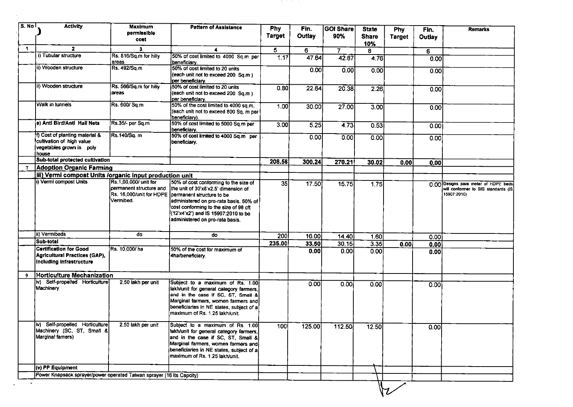| S. No          | <b>Activity</b>                                                                                  | <b>Maximum</b><br>permissible<br>cost                         | <b>Pattern of Assistance</b>                                                                                                                                                                                                                                                                     | <b>Phy</b><br><b>Target</b> | Fin.<br>Outlay | <b>GOI Share</b><br>90% | <b>State</b><br><b>Share</b><br>10% | Phy<br><b>Target</b> | Fin.<br><b>Outlay</b> | <b>Remarks</b>                                                                             |
|----------------|--------------------------------------------------------------------------------------------------|---------------------------------------------------------------|--------------------------------------------------------------------------------------------------------------------------------------------------------------------------------------------------------------------------------------------------------------------------------------------------|-----------------------------|----------------|-------------------------|-------------------------------------|----------------------|-----------------------|--------------------------------------------------------------------------------------------|
| 1.             | $\overline{2}$                                                                                   | 3.                                                            | 4                                                                                                                                                                                                                                                                                                | 5                           | 6              | 7                       | 8                                   |                      | 6                     |                                                                                            |
|                | i) Tubular structure                                                                             | Rs. 816/Sq.m for hilly<br>areas                               | 50% of cost limited to 4000 Sq.m per<br>beneficiary.                                                                                                                                                                                                                                             | 1.17                        | 47.64          | 42.87                   | 476                                 |                      | 0.00                  |                                                                                            |
|                | ii) Wooden structure                                                                             | Rs. 492/Sq.m                                                  | 50% of cost limited to 20 units<br>(each unit not to exceed 200 Sq.m)<br>per beneficiary.                                                                                                                                                                                                        |                             | 0.00           | 0.00                    | 0.00                                |                      | 0.00                  |                                                                                            |
|                | (ii) Wooden structure                                                                            | Rs. 566/Sq.m for hilly<br>areas                               | 50% of cost limited to 20 units<br>(each unit not to exceed 200 Sq.m)<br>per beneficiary.                                                                                                                                                                                                        | 0.80                        | 22.64          | 20.38                   | 2.26                                |                      | 0.00                  |                                                                                            |
|                | Walk in tunnels                                                                                  | Rs. 600/ Sq.m                                                 | 50% of the cost limited to 4000 sq.m.<br>(each unit not to exceed 800 Sq. m per<br>beneficiary).                                                                                                                                                                                                 | 1.00                        | 30.00          | 27.00                   | 3.00                                |                      | 0.00                  |                                                                                            |
|                | e) Anti Bird/Anti Hail Nets                                                                      | Rs.35/- per Sq.m                                              | 50% of cost limited to 5000 Sq.m per<br>beneficiary.                                                                                                                                                                                                                                             | 3.00                        | 5.25           | 4.73                    | 0.53                                |                      | 0.00                  |                                                                                            |
|                | f) Cost of planting material &<br>cultivation of high value<br>vegetables grown in poly<br>house | Rs.140/Sq. m                                                  | 50% of cost limited to 4000 Sq.m per<br>beneficiary.                                                                                                                                                                                                                                             |                             | 0.00           | 0.00                    | 0.00                                |                      | 0.00                  |                                                                                            |
|                | Sub-total protected cultivation                                                                  |                                                               |                                                                                                                                                                                                                                                                                                  | 208.56                      | 300.24         | 270.21                  | 30.02                               | 0.00                 | 0.00                  |                                                                                            |
| $\overline{I}$ | <b>Adoption Organic Farming</b>                                                                  |                                                               |                                                                                                                                                                                                                                                                                                  |                             |                |                         |                                     |                      |                       |                                                                                            |
|                | iii) Vermi compost Units /organic input production unit                                          |                                                               |                                                                                                                                                                                                                                                                                                  |                             |                |                         |                                     |                      |                       |                                                                                            |
|                | i) Vermi compost Units                                                                           | Rs.1,00,000/ unit for<br>permanent structure and<br>Vermibed. | 50% of cost conforming to the size of<br>the unit of 30'x8'x2.5' dimension of<br>Rs. 16,000/unit for HDPE permanent structure to be<br>administered on pro-rata basis. 50% of<br>cost conforming to the size of 96 cft<br>(12'x4'x2') and IS 15907:2010 to be<br>administered on pro-rata basis. | 35                          | 17.50          | 15.75                   | 1.75                                |                      |                       | 0.00 Designs para meter of HDPE beds<br>will conformer to BIS standards (IS<br>15907:2010) |
|                | ii) Vermibeds                                                                                    | do                                                            | do                                                                                                                                                                                                                                                                                               | <b>2001</b>                 | 16.00          | 14.40                   | 1.60                                |                      | 0.00                  |                                                                                            |
|                | Sub-total                                                                                        |                                                               |                                                                                                                                                                                                                                                                                                  | 235.00                      | 33.50          | 30.15                   | 3.35                                | 0.00                 | 0.00                  |                                                                                            |
|                | <b>Certification for Good</b><br>Agricultural Practices (GAP),<br>Including infrastructure       | Rs. 10,000/ha                                                 | 50% of the cost for maximum of<br>4ha/beneficiary.                                                                                                                                                                                                                                               |                             | 0.00           | 0.001                   | 0.00                                |                      | 0.00                  |                                                                                            |
| 9              | Horticulture Mechanization                                                                       |                                                               |                                                                                                                                                                                                                                                                                                  |                             |                |                         |                                     |                      |                       |                                                                                            |
|                | (iv) Self-propelled Horticulture<br>Machinery                                                    | 2.50 lakh per unit                                            | Subject to a maximum of Rs. 1.00<br>lakh/unit for general category farmers,<br>and in the case if SC, ST, Small &<br>Marginal farmers, women farmers and<br>beneficiaries in NE states, subject of a<br>maximum of Rs. 1.25 lakh/unit.                                                           |                             | 0.00           | 0.00                    | 0.00                                |                      | 0.00                  |                                                                                            |
|                | (iv) Self-propelled Horticulture<br>Machinery (SC, ST, Small &<br>Marginal famers)               | 2.50 lakh per unit                                            | Subject to a maximum of Rs. 1.00<br>lakh/unit for general category farmers,<br>and in the case if SC, ST, Small &<br>Marginal farmers, women farmers and<br>beneficiaries in NE states, subject of a<br>maximum of Rs. 1.25 lakh/unit.                                                           | 100                         | 125.00         | 112.50                  | 12.50                               |                      | 0.00                  |                                                                                            |
|                | (v) PP Equipment                                                                                 |                                                               |                                                                                                                                                                                                                                                                                                  |                             |                |                         |                                     |                      |                       |                                                                                            |
|                | Power Knapsack sprayer/power operated Taiwan sprayer (16 Its Capcity)                            |                                                               |                                                                                                                                                                                                                                                                                                  |                             |                |                         |                                     |                      |                       |                                                                                            |
|                |                                                                                                  |                                                               |                                                                                                                                                                                                                                                                                                  |                             |                |                         |                                     |                      |                       |                                                                                            |

 $\mathcal{F}^{\mathcal{A}}_{\mathcal{A}}$  , and  $\mathcal{F}^{\mathcal{A}}_{\mathcal{A}}$  , and  $\mathcal{F}^{\mathcal{A}}_{\mathcal{A}}$ 

 $\bar{z}$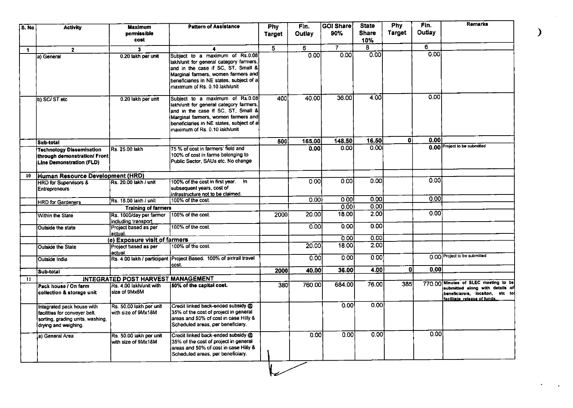| S. No       | <b>Activity</b>                                                                                                         | Maximum<br>permissible<br>cost                 | <b>Pattern of Assistance</b>                                                                                                                                                                                                         | Phy<br><b>Target</b> | Fin.<br>Outlay | <b>GOI Share</b><br>90% | <b>State</b><br><b>Share</b><br>10% | <b>Phy</b><br><b>Target</b> | Fin.<br>Outlay | <b>Remarks</b>                                                                                     |
|-------------|-------------------------------------------------------------------------------------------------------------------------|------------------------------------------------|--------------------------------------------------------------------------------------------------------------------------------------------------------------------------------------------------------------------------------------|----------------------|----------------|-------------------------|-------------------------------------|-----------------------------|----------------|----------------------------------------------------------------------------------------------------|
| $\mathbf 1$ | $\overline{2}$                                                                                                          | 3                                              | 4                                                                                                                                                                                                                                    | $\overline{5}$       | 6              | 7.                      | 8                                   |                             | 6              |                                                                                                    |
|             | a) General                                                                                                              | 0.20 lakh per unit                             | Subject to a maximum of Rs.0.08<br>lakh/unit for general category farmers,<br>and in the case if SC, ST, Small &<br>Marginal farmers, women farmers and<br>beneficiaries in NE states, subject of a<br>maximum of Rs. 0.10 lakh/unit |                      | 0.00           | 0.00                    | 0.00                                |                             | 0.00           |                                                                                                    |
|             | b) SC/ST etc                                                                                                            | 0.20 lakh per unit                             | Subject to a maximum of Rs.0.08<br>lakh/unit for general category farmers,<br>and in the case if SC, ST, Small &<br>Marginal farmers, women farmers and<br>beneficiaries in NE states, subject of a<br>maximum of Rs. 0.10 lakh/unit | 400                  | 40.00          | 36.00                   | 4.00I                               |                             | 0.00           |                                                                                                    |
|             | Sub-total                                                                                                               |                                                |                                                                                                                                                                                                                                      | 500                  | 165.00         | 148.50                  | 16.50                               | ٥ı                          | 0.00           |                                                                                                    |
|             | <b>Technology Dissemination</b><br>through demonstration/ Front<br>Line Demonstration (FLD)                             | Rs. 25.00 lakh                                 | 75 % of cost in farmers' field and<br>100% of cost in farms belonging to<br>Public Sector, SAUs etc. No change                                                                                                                       |                      | 0.00           | $\overline{0.00}$       | 0.00                                |                             |                | 0.00 Project to be submitted                                                                       |
| 10          | Human Resource Development (HRD)                                                                                        |                                                |                                                                                                                                                                                                                                      |                      |                |                         |                                     |                             |                |                                                                                                    |
|             | <b>HRD</b> for Supervisors &<br><b>Entrepreneurs</b>                                                                    | Rs. 20.00 lakh / unit                          | 100% of the cost in first year. In<br>subsequent years, cost of<br>infrastructure not to be claimed.                                                                                                                                 |                      | 0.00           | 0.001                   | 0.00                                |                             | 0.00           |                                                                                                    |
|             | <b>HRD</b> for Gardeners                                                                                                | Rs. 15.00 lakh / unit                          | 100% of the cost.                                                                                                                                                                                                                    |                      | 0.00           | 0.00                    | 0.00                                |                             | 0.00           |                                                                                                    |
|             |                                                                                                                         | <b>Training of farmers</b>                     |                                                                                                                                                                                                                                      |                      |                | 0.00                    | 0.001                               |                             |                |                                                                                                    |
|             | <b>Within the State</b>                                                                                                 | Rs. 1000/day per farmer<br>including transport | 100% of the cost.                                                                                                                                                                                                                    | 2000                 | 20.00          | 18.00                   | 2.00l                               |                             | 0.001          |                                                                                                    |
|             | Outside the state                                                                                                       | Project based as per<br>actual.                | 100% of the cost.                                                                                                                                                                                                                    |                      | 0.001          | 0.00                    | 0.001                               |                             |                |                                                                                                    |
|             |                                                                                                                         | (e) Exposure visit of farmers                  |                                                                                                                                                                                                                                      |                      |                | 0.00                    | 0.001                               |                             |                |                                                                                                    |
|             | <b>Outside the State</b>                                                                                                | Project based as per<br>actual.                | 100% of the cost.                                                                                                                                                                                                                    |                      | 20.00          | 18.00                   | 2.00                                |                             |                | 0.00 Project to be submitted                                                                       |
|             | Outside India                                                                                                           |                                                | Rs. 4.00 lakh / participant   Project Based. 100% of air/rail travel<br>cost.                                                                                                                                                        |                      | 000            | 0.001                   | 0.001                               | 0                           | 0.00           |                                                                                                    |
|             | Sub-total                                                                                                               |                                                |                                                                                                                                                                                                                                      | 2000                 | 40.00          | 36.00                   | 4.00                                |                             |                |                                                                                                    |
| 11          |                                                                                                                         | INTEGRATED POST HARVEST MANAGEMENT             |                                                                                                                                                                                                                                      |                      | 760.00         | 684.00                  | 76.00                               | 385                         |                | 770.00 Minutes of SLEC meeting to be                                                               |
|             | Pack house / On farm<br>collection & storage unit                                                                       | Rs. 4.00 lakh/unit with<br>size of 9Mx6M       | 50% of the capital cost.                                                                                                                                                                                                             | 380                  |                |                         |                                     |                             |                | submitted along with details of<br>beneficiareis, locaiton, etc to<br>facilitate_release of funds. |
|             | Integrated pack house with<br>facilities for convever belt.<br>sorting, grading units, washing,<br>drying and weighing. | Rs. 50.00 lakh per unit<br>with size of 9Mx18M | Credit linked back-ended subsidy @<br>35% of the cost of project in general<br>areas and 50% of cost in case Hilly &<br>Scheduled areas, per beneficiary.                                                                            |                      |                | 0.00                    | 0.00                                |                             |                |                                                                                                    |
|             | a) General Area                                                                                                         | Rs. 50.00 lakh per unit<br>with size of 9Mx18M | Credit linked back-ended subsidy @<br>35% of the cost of project in general<br>areas and 50% of cost in case Hilly &<br>Scheduled areas, per beneficiary.                                                                            |                      | 0.001          | 0.001                   | 0.00                                |                             | 0.00           |                                                                                                    |

V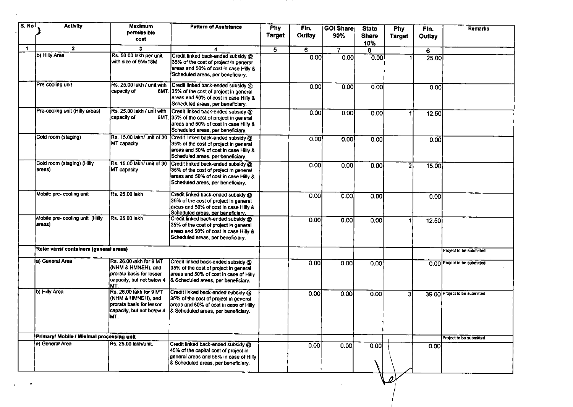| S. No | <b>Activity</b>                           | <b>Maximum</b><br>permissible<br>cost                                                                          | <b>Pattern of Assistance</b>                                                                                                                                                         | $P$ hy<br><b>Target</b> | Fin.<br>Outlay | ∣GOI Share∣<br>90% | <b>State</b><br><b>Share</b><br>10% | Phy<br><b>Target</b> | Fin.<br>Outlay | Remarks                       |
|-------|-------------------------------------------|----------------------------------------------------------------------------------------------------------------|--------------------------------------------------------------------------------------------------------------------------------------------------------------------------------------|-------------------------|----------------|--------------------|-------------------------------------|----------------------|----------------|-------------------------------|
| -1    | $\mathbf{2}$                              | 3                                                                                                              | 4                                                                                                                                                                                    | 5                       | 6              | 7                  | 8.                                  |                      | 6              |                               |
|       | b) Hilly Area                             | Rs. 50.00 lakh per unit<br>with size of 9Mx18M                                                                 | Credit linked back-ended subsidy @<br>35% of the cost of project in general<br>areas and 50% of cost in case Hilly &<br>Scheduled areas, per beneficiary.                            |                         | 0.00           | 0.00               | 0.00                                |                      | 25.00          |                               |
|       | Pre-cooling unit                          | Rs. 25.00 lakh / unit with<br>capacity of                                                                      | Credit linked back-ended subsidy @<br>6MT. 35% of the cost of project in general<br>areas and 50% of cost in case Hilly &<br>Scheduled areas, per beneficiary.                       |                         | 0.00           | 0.00               | 0.00                                |                      | 0.00           |                               |
|       | Pre-cooling unit (Hilly areas)            | Rs. 25.00 lakh / unit with<br>capacity of                                                                      | Credit linked back-ended subsidy @<br>6MT. 35% of the cost of project in general<br>areas and 50% of cost in case Hilly &<br>Scheduled areas, per beneficiary.                       |                         | 0.00           | 0.00               | 0.00                                |                      | 12.50          |                               |
|       | Cold room (staging)                       | Rs. 15.00 lakh/ unit of 30<br>MT capacity                                                                      | Credit linked back-ended subsidy @<br>35% of the cost of project in general<br>areas and 50% of cost in case Hilly &<br>Scheduled areas, per beneficiary.                            |                         | 0.00           | 0.00               | 0.00                                |                      | 0.00           |                               |
|       | Cold room (staging) (Hilly<br>areas)      | MT capacity                                                                                                    | Rs. 15.00 lakh/ unit of 30 Credit linked back-ended subsidy @<br>35% of the cost of project in general<br>areas and 50% of cost in case Hilly &<br>Scheduled areas, per beneficiary. |                         | 0.00           | 0.00               | 0.00                                | 2                    | 15.00          |                               |
|       | Mobile pre-cooling unit                   | IRs. 25.00 lakh                                                                                                | Credit linked back-ended subsidy @<br>35% of the cost of project in general<br>areas and 50% of cost in case Hilly &<br>Scheduled areas, per beneficiary,                            |                         | 0.00           | 0.00               | 0.00                                |                      | 0.00           |                               |
|       | Mobile pre- cooling unit (Hilly<br>areas) | Rs. 25.00 lakh                                                                                                 | Credit linked back-ended subsidy @<br>35% of the cost of project in general<br>areas and 50% of cost in case Hilly &<br>Scheduled areas, per beneficiary.                            |                         | 0.00           | 0.00               | 0.00                                |                      | 12.50          |                               |
|       | Refer vans/ containers (general areas)    |                                                                                                                |                                                                                                                                                                                      |                         |                |                    |                                     |                      |                | Project to be submitted       |
|       | la) General Area                          | Rs. 26.00 lakh for 9 MT<br>(NHM & HMNEH), and<br>prorata basis for lesser<br>capacity, but not below 4<br>IMT. | Credit linked back-ended subsidy @<br>35% of the cost of project in general<br>areas and 50% of cost in case of Hilly<br>& Scheduled areas, per beneficiary.                         |                         | 0.00           | 0.00               | 0.00                                |                      |                | 0.00 Project to be submitted  |
|       | b) Hilly Area                             | Rs. 26.00 lakh for 9 MT<br>(NHM & HMNEH), and<br>prorata basis for lesser<br>capacity, but not below 4<br>IMT. | Credit linked back-ended subsidy @<br>35% of the cost of project in general<br>areas and 50% of cost in case of Hilly<br>& Scheduled areas, per beneficiary.                         |                         | 0.00           | 0.00               | 0.00                                | 3                    |                | 39.00 Project to be submitted |
|       | Primary/ Mobile / Minimal processing unit |                                                                                                                |                                                                                                                                                                                      |                         |                |                    |                                     |                      |                | Project to be submitted       |
|       | a) General Area                           | Rs. 25.00 lakh/unit.                                                                                           | Credit linked back-ended subsidy @<br>40% of the capital cost of project in<br>general areas and 55% in case of Hilly<br>& Scheduled areas, per beneficiary.                         |                         | 0.00           | 0.00               | 0.00                                |                      | 0.00           |                               |

 $\,$  .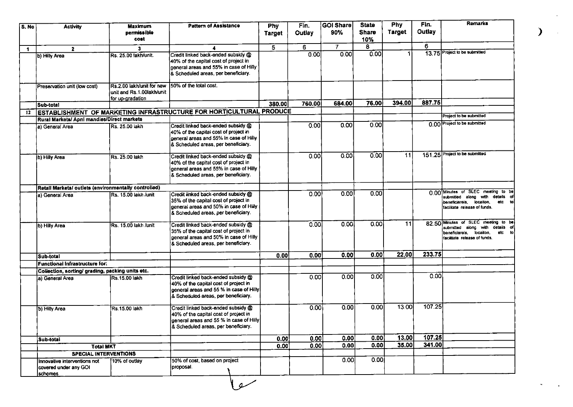| S. No        | <b>Activity</b>                                                  | <b>Maximum</b><br>permissible<br>cost                                      | <b>Pattern of Assistance</b>                                                                                                                                  | <b>Phy</b><br><b>Target</b> | Fin.<br><b>Outlay</b> | GOI Share<br>90% | <b>State</b><br><b>Share</b><br>10% | <b>Phy</b><br><b>Target</b> | Fin.<br><b>Outlay</b> | Remarks                                                                                                                                        |
|--------------|------------------------------------------------------------------|----------------------------------------------------------------------------|---------------------------------------------------------------------------------------------------------------------------------------------------------------|-----------------------------|-----------------------|------------------|-------------------------------------|-----------------------------|-----------------------|------------------------------------------------------------------------------------------------------------------------------------------------|
| $\mathbf{1}$ | $\mathbf{2}$                                                     | 3                                                                          | 4                                                                                                                                                             | 5                           | 6                     | 7                | 8                                   |                             | 6                     |                                                                                                                                                |
|              | b) Hilly Area                                                    | Rs. 25.00 fakh/unit.                                                       | Credit linked back-ended subsidy @<br>40% of the capital cost of project in<br>general areas and 55% in case of Hilly<br>& Scheduled areas, per beneficiary.  |                             | 0.00                  | 0.00             | 0.00                                |                             |                       | 13.75 Project to be submitted                                                                                                                  |
|              | Preservation unit (low cost)                                     | Rs.2.00 lakh/unit for new<br>unit and Rs.1.00lakh/unit<br>for up-gradation | 150% of the total cost.                                                                                                                                       |                             |                       |                  |                                     |                             |                       |                                                                                                                                                |
|              | Sub-total                                                        |                                                                            |                                                                                                                                                               | 380.00                      | 760.00                | 684.00           | 76.00                               | 394.00                      | 887.75                |                                                                                                                                                |
| 12           |                                                                  |                                                                            | ESTABLISHMENT OF MARKETING INFRASTRUCTURE FOR HORTICULTURAL PRODUCE                                                                                           |                             |                       |                  |                                     |                             |                       | Project to be submitted                                                                                                                        |
|              | Rural Markets/ Apni mandies/Direct markets                       |                                                                            |                                                                                                                                                               |                             |                       |                  |                                     |                             |                       | 0.00 Project to be submitted                                                                                                                   |
|              | a) General Area                                                  | Rs. 25.00 lakn                                                             | Credit linked back-ended subsidy @<br>40% of the capital cost of project in<br>general areas and 55% in case of Hilly<br>& Scheduled areas, per beneficiary.  |                             | 0.00                  | 0.00             | 0.00                                |                             |                       |                                                                                                                                                |
|              | b) Hilly Area                                                    | Rs. 25.00 lakh                                                             | Credit linked back-ended subsidy @<br>40% of the capital cost of project in<br>general areas and 55% in case of Hilly<br>& Scheduled areas, per beneficiary.  |                             | 0.00                  | 0.00             | 0.00                                | 11                          |                       | 151.25 Project to be submitted                                                                                                                 |
|              | Retail Markets/ outlets (environmentally controlled)             |                                                                            |                                                                                                                                                               |                             |                       |                  |                                     |                             |                       |                                                                                                                                                |
|              | a) General Area                                                  | lRs. 15.00 lakh /unit                                                      | Credit linked back-ended subsidy @<br>35% of the capital cost of project in<br>general areas and 50% in case of Hilly<br>& Scheduled areas, per beneficiary.  |                             | 0.00                  | 0.00             | 0.00                                |                             |                       | 0.00 Minutes of SLEC meeting to be<br>details of<br>submitted along with<br>etc<br>beneficiareis, locaiton,<br>facilitate release of funds.    |
|              | b) Hilly Area                                                    | Rs. 15.00 lakh /unit                                                       | Credit linked back-ended subsidy @<br>35% of the capital cost of project in<br>general areas and 50% in case of Hilly<br>& Scheduled areas, per beneficiary.  |                             | 0.00                  | 0.00             | 0.00                                | 11                          |                       | 82.50 Minutes of SLEC meeting to be<br>submitted along with<br>details of<br>etc to<br>beneficiareis locaiton,<br>facilitate release of funds. |
|              | Sub-total                                                        |                                                                            |                                                                                                                                                               | 0.00                        | 0.00                  | 0.00             | 0.00                                | 22.00                       | 233.75                |                                                                                                                                                |
|              | <b>Functional Infrastructure for:</b>                            |                                                                            |                                                                                                                                                               |                             |                       |                  |                                     |                             |                       |                                                                                                                                                |
|              | Collection, sorting/ grading, packing units etc.                 |                                                                            |                                                                                                                                                               |                             |                       |                  |                                     |                             |                       |                                                                                                                                                |
|              | a) General Area                                                  | <b>Rs.15.00 lakh</b>                                                       | Credit linked back-ended subsidy @<br>40% of the capital cost of project in<br>general areas and 55 % in case of Hilly<br>& Scheduled areas, per beneficiary. |                             | 0.00                  | 0.00             | 0.00                                |                             | 0.00                  |                                                                                                                                                |
|              | b) Hilly Area                                                    | Rs.15.00 lakh                                                              | Credit linked back-ended subsidy @<br>40% of the capital cost of project in<br>general areas and 55 % in case of Hilly<br>& Scheduled areas, per beneficiary. |                             | 0.00                  | 0.00             | 0.00                                | 13.00                       | 107.25                |                                                                                                                                                |
|              | Sub-total                                                        |                                                                            |                                                                                                                                                               | [0.00]                      | [0.00]                | 0.00             | 0.00                                | 13.00                       | 107.25                |                                                                                                                                                |
|              | <b>Total MKT</b>                                                 |                                                                            |                                                                                                                                                               | 0.00                        | 0.00                  | 0.00             | 0.00                                | 35.00                       | 341.00                |                                                                                                                                                |
|              | <b>SPECIAL INTERVENTIONS</b>                                     |                                                                            |                                                                                                                                                               |                             |                       |                  |                                     |                             |                       |                                                                                                                                                |
|              | Innovative interventions not<br>covered under any GOI<br>schemes | 10% of outlay                                                              | 50% of cost, based on project<br>proposal.                                                                                                                    |                             |                       | 0.00             | 0.00                                |                             |                       |                                                                                                                                                |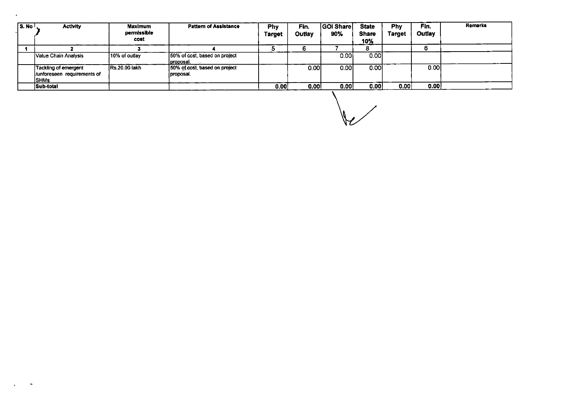| l S. No <sup>j</sup> | <b>Activity</b>                                                     | Maximum<br>permissible<br>cost | <b>Pattern of Assistance</b>               | Phy<br><b>Target</b> | Fin.<br>Outlay | <b>GOI Share</b><br>90% | <b>State</b><br><b>Share</b><br>10% | <b>Phy</b><br>Target | Fin.<br>Outlay | <b>Remarks</b> |
|----------------------|---------------------------------------------------------------------|--------------------------------|--------------------------------------------|----------------------|----------------|-------------------------|-------------------------------------|----------------------|----------------|----------------|
|                      |                                                                     |                                |                                            |                      |                |                         |                                     |                      |                |                |
|                      | Value Chain Analysis                                                | 10% of outlay                  | 50% of cost, based on project<br>proposal. |                      |                | 0.001                   | 0.001                               |                      |                |                |
|                      | Tackling of emergent<br>//unforeseen requirements of<br><b>SHMs</b> | <b>Rs.20.00 lakh</b>           | 50% of cost, based on project<br>proposal. |                      | 0.001          | 0.001                   | 0.001                               |                      | 0.001          |                |
|                      | Sub-total                                                           |                                |                                            | 0.00                 | 0.00           | 0.00                    | 0.00                                | 0.00                 | 0.00           |                |

 $\mathcal{A}$ 

 $\sqrt{2}$